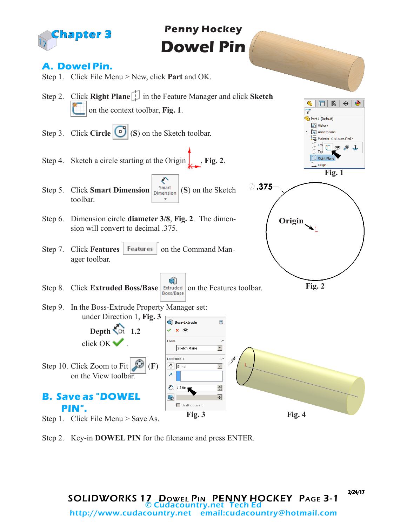

Step 2. Key-in **DOWEL PIN** for the filename and press ENTER.

2/24/17